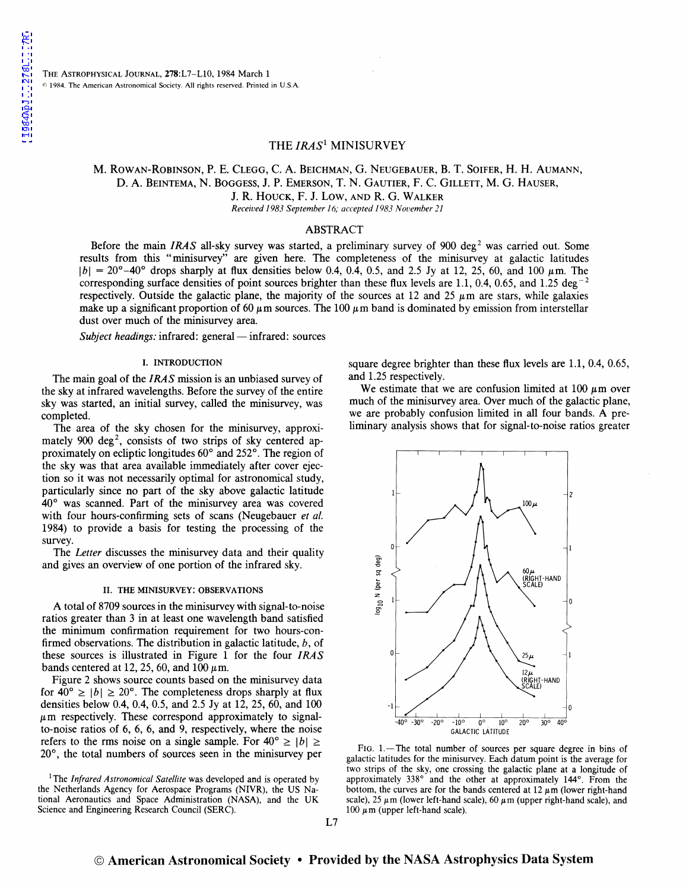## THE *IRAS<sup>1</sup>* MINISURVEY

## M. ROWAN-ROBINSON, P. E. CLEGG, C. A. BEICHMAN, G. NEUGEBAUER, B. T. SOIFER, H. H. AUMANN, D. A. BEINTEMA, N. BOGGESS, J. P. EMERSON, T. N. GAUTIER, F. c. GILLETT, M. G. HAUSER,

J. R. HOUCK, F. J. LOW, AND R. G. WALKER

*Received 1983September16; accepted 1983 Nouember 21* 

## ABSTRACT

Before the main *IRAS* all-sky survey was started, a preliminary survey of 900 deg<sup>2</sup> was carried out. Some results from this "minisurvey" are given here. The completeness of the minisurvey at galactic latitudes  $|b| = 20^{\circ} - 40^{\circ}$  drops sharply at flux densities below 0.4, 0.4, 0.5, and 2.5 Jy at 12, 25, 60, and 100  $\mu$ m. The corresponding surface densities of point sources brighter than these flux levels are 1.1, 0.4, 0.65, and 1.25 deg<sup>-2</sup> respectively. Outside the galactic plane, the majority of the sources at 12 and 25  $\mu$ m are stars, while galaxies make up a significant proportion of 60  $\mu$ m sources. The 100  $\mu$ m band is dominated by emission from interstellar dust over much of the minisurvey area.

*Subject headings:* infrared: general — infrared: sources

#### I. INTRODUCTION

The main goal of the *IRAS* mission is an unbiased survey of the sky at infrared wavelengths. Before the survey of the entire sky was started, an initial survey, called the minisurvey, was completed.

The area of the sky chosen for the minisurvey, approximately 900 deg<sup>2</sup>, consists of two strips of sky centered approximately on ecliptic longitudes 60° and 252°. The region of the sky was that area available immediately after cover ejection so it was not necessarily optimal for astronomical study, particularly since no part of the sky above galactic latitude 40° was scanned. Part of the minisurvey area was covered with four hours-confirming sets of scans (Neugebauer *et al.*  1984) to provide a basis for testing the processing of the survey.

The *Letter* discusses the minisurvey data and their quality and gives an overview of one portion of the infrared sky.

#### II. THE MINISURVEY: OBSERVATIONS

A total of 8709 sources in the minisurvey with signal-to-noise ratios greater than 3 in at least one wavelength band satisfied the minimum confirmation requirement for two hours-confirmed observations. The distribution in galactic latitude, b, of these sources is illustrated in Figure 1 for the four *IRAS*  bands centered at 12, 25, 60, and 100  $\mu$ m.

Figure 2 shows source counts based on the minisurvey data for  $40^{\circ} \ge |b| \ge 20^{\circ}$ . The completeness drops sharply at flux densities below 0.4, 0.4, 0.5, and 2.5 Jy at 12, 25, 60, and 100  $\mu$ m respectively. These correspond approximately to signalto-noise ratios of 6, 6, 6, and 9, respectively, where the noise refers to the rms noise on a single sample. For  $40^{\circ} \ge |b| \ge$ 20°, the total numbers of sources seen in the minisurvey per

square degree brighter than these flux levels are 1.1, 0.4, 0.65, and 1.25 respectively.

We estimate that we are confusion limited at  $100 \mu m$  over much of the minisurvey area. Over much of the galactic plane, we are probably confusion limited in all four bands. A preliminary analysis shows that for signal-to-noise ratios greater



FIG. 1.-The total number of sources per square degree in bins of galactic latitudes for the minisurvey. Each datum point is the average for two strips of the sky, one crossing the galactic plane at a longitude of approximately 338° and the other at approximately 144°. From the bottom, the curves are for the bands centered at  $12 \mu m$  (lower right-hand scale), 25  $\mu$ m (lower left-hand scale), 60  $\mu$ m (upper right-hand scale), and 100  $\mu$ m (upper left-hand scale).

<sup>&</sup>lt;sup>1</sup>The *Infrared Astronomical Satellite* was developed and is operated by the Netherlands Agency for Aerospace Programs (NIVR), the US National Aeronautics and Space Administration (NASA), and the UK Science and Engineering Research Council (SERC).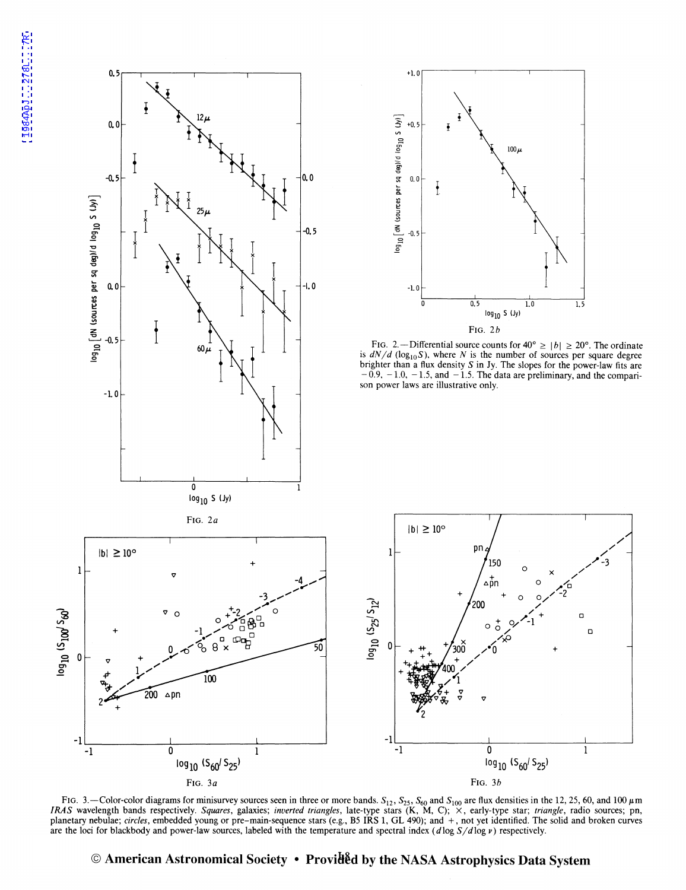

FIG. 3.—Color-color diagrams for minisurvey sources seen in three or more bands.  $S_{12}$ ,  $S_{25}$ ,  $S_{60}$  and  $S_{100}$  are flux densities in the 12, 25, 60, and 100  $\mu$ m *IRAS* wavelength bands respectively. *Squares, galaxies; inverted triangles, late-type stars* (K, M, C); X, early-type star; *triangle*, radio sources; pn, planetary nebulae; *circles*, embedded young or pre-main-sequence stars (e.g., B5 IRS 1, GL 490); and +, not yet identified. The solid and broken curves are the loci for blackbody and power-law sources, labeled with the temperature and spectral index ( dlog S / dlog *v)* respectively.

 $100\,\mu$ 

 $0.5$ 

pn

 $log_{10}$  S (Jy)

0

FIG. 3b

 $log_{10}$  (S<sub>60</sub>/S<sub>25</sub>)

 $\mathbf{1}$ 

LO 1.5

# © American Astronomical Society • Provid<sup>e</sup>d by the NASA Astrophysics Data System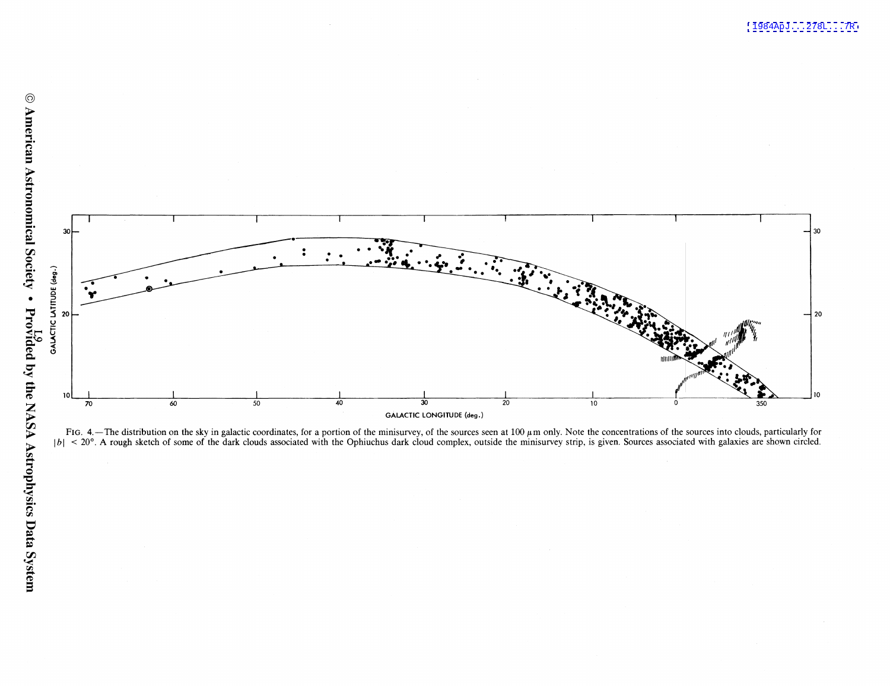

FIG. 4. — The distribution on the sky in galactic coordinates, for a portion of the minisurvey, of the sources seen at 100  $\mu$ m only. Note the concentrations of the sources into clouds, particularly for  $|b| < 20^{\circ}$ . A